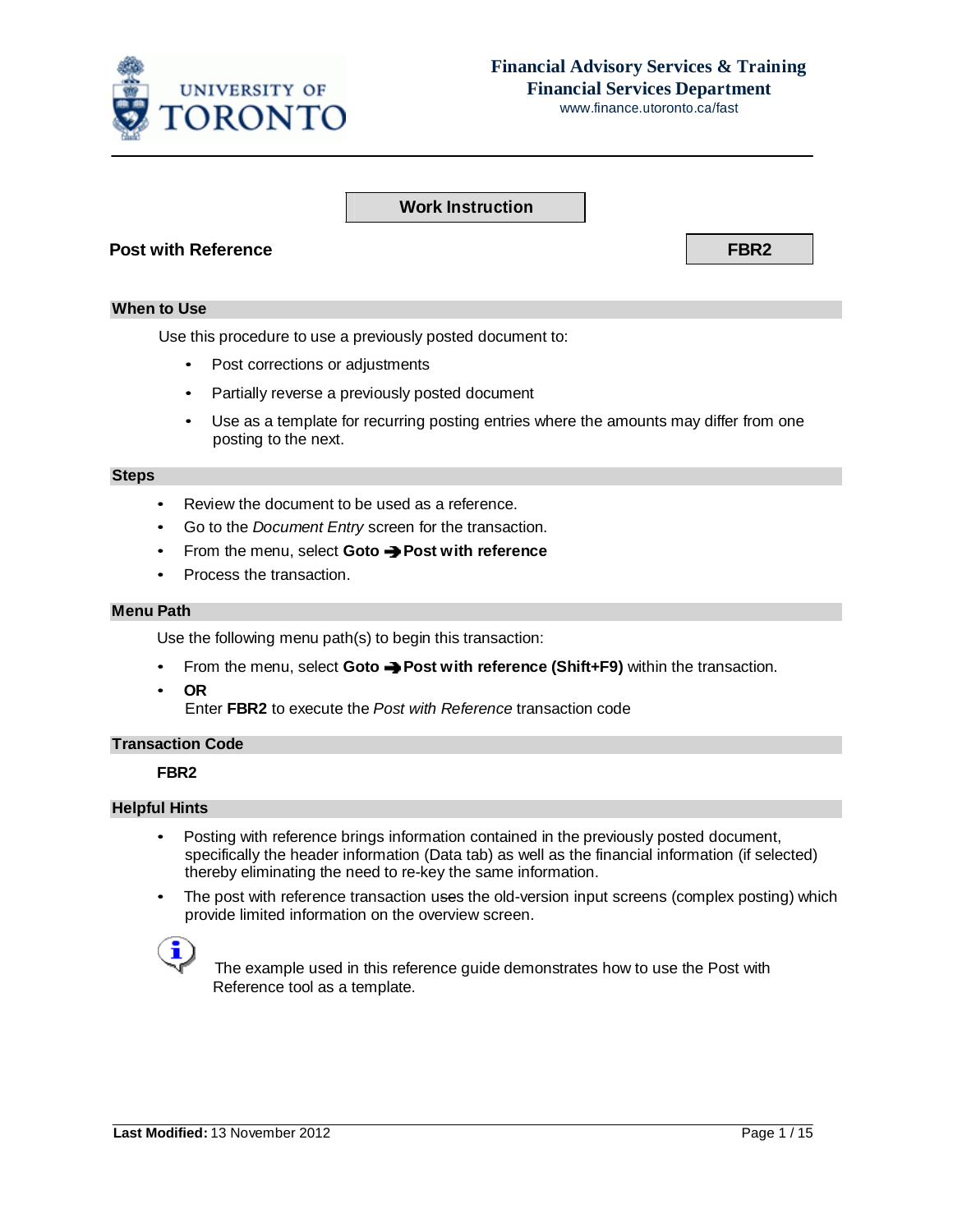

# **Financial Advisory Services & Training Financial Services Department**

www.finance.utoronto.ca/fast

## **Work Instruction**

### **Post with Reference FBR2**

#### **When to Use**

Use this procedure to use a previously posted document to:

- Post corrections or adjustments
- Partially reverse a previously posted document
- Use as a template for recurring posting entries where the amounts may differ from one posting to the next.

#### **Steps**

- Review the document to be used as a reference.
- Go to the *Document Entry* screen for the transaction.
- From the menu, select **Goto Post with reference**
- Process the transaction.

### **Menu Path**

Use the following menu path(s) to begin this transaction:

- From the menu, select **Goto Post with reference (Shift+F9)** within the transaction.
- **OR**

Enter **FBR2** to execute the *Post with Reference* transaction code

### **Transaction Code**

#### **FBR2**

#### **Helpful Hints**

- Posting with reference brings information contained in the previously posted document, specifically the header information (Data tab) as well as the financial information (if selected) thereby eliminating the need to re-key the same information.
- The post with reference transaction uses the old-version input screens (complex posting) which provide limited information on the overview screen.



 The example used in this reference guide demonstrates how to use the Post with Reference tool as a template.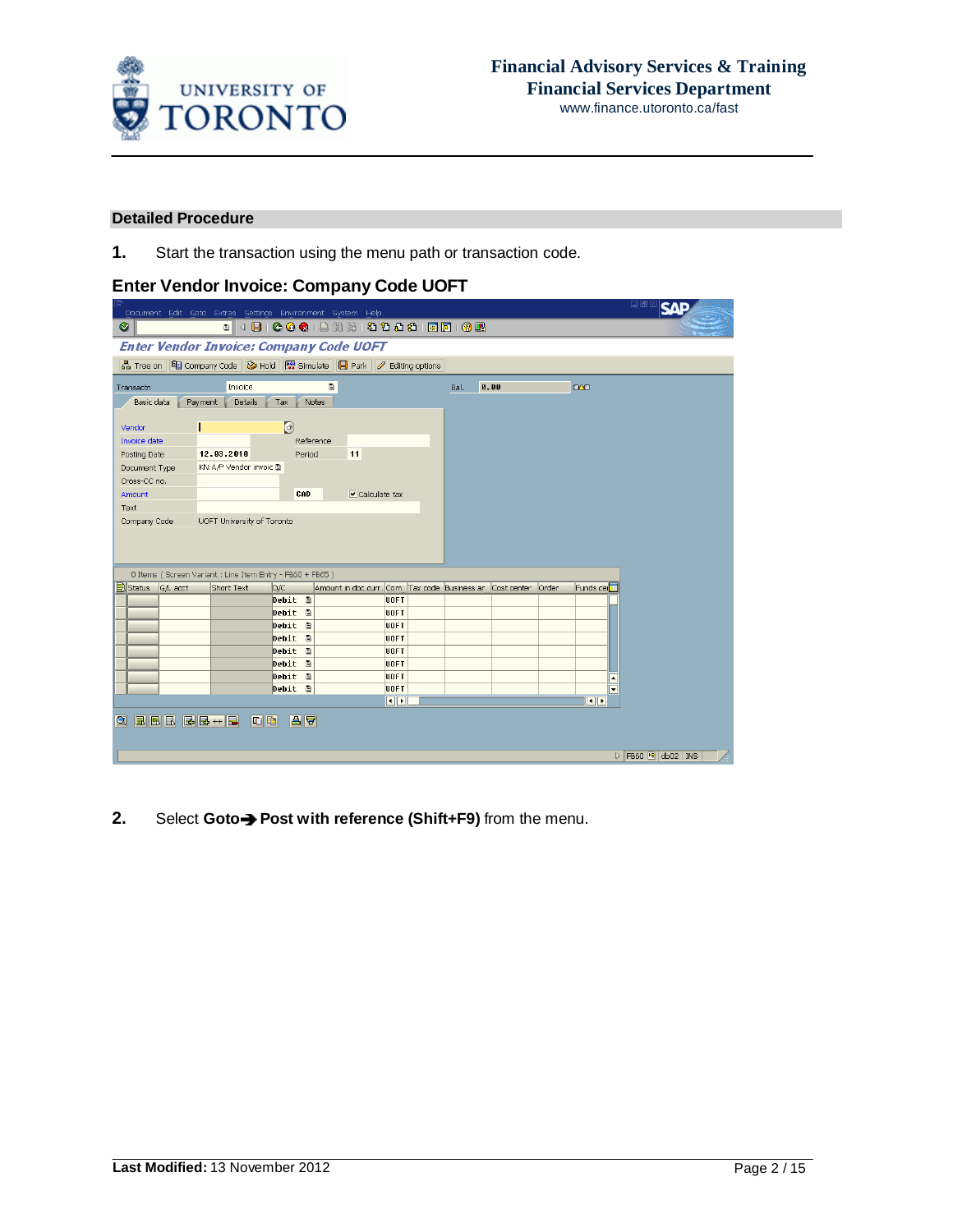

### **Detailed Procedure**

**1.** Start the transaction using the menu path or transaction code.

# **Enter Vendor Invoice: Company Code UOFT**

|                                                | Document Edit Goto Extras Settings Environment System Help                                                         |              |                                                        |                         |                      |             |       |                          | 日回区<br><b>SAP</b>                             |
|------------------------------------------------|--------------------------------------------------------------------------------------------------------------------|--------------|--------------------------------------------------------|-------------------------|----------------------|-------------|-------|--------------------------|-----------------------------------------------|
| Ø                                              |                                                                                                                    |              | <sup>8</sup> 4 8 6 6 6 1 8 6 6 6 6 6 6 6 6 6 7 8 7 8 7 |                         |                      |             |       |                          |                                               |
| <b>Enter Vendor Invoice: Company Code UOFT</b> |                                                                                                                    |              |                                                        |                         |                      |             |       |                          |                                               |
| 品 Tree on                                      | 图 Company Code $\bigotimes$ Hold $\bigotimes_{\mathbb{Z}}$ Simulate $\bigotimes$ Park $\bigotimes$ Editing options |              |                                                        |                         |                      |             |       |                          |                                               |
| Transactn                                      | Invoice                                                                                                            |              | $\blacksquare$                                         |                         | Bal.                 | 0.00        |       | $\infty$                 |                                               |
| Basic data                                     | Payment<br>Details                                                                                                 | Notes<br>Tax |                                                        |                         |                      |             |       |                          |                                               |
| Vendor                                         |                                                                                                                    | $\bigcirc$   |                                                        |                         |                      |             |       |                          |                                               |
| Invoice date                                   |                                                                                                                    | Reference    |                                                        |                         |                      |             |       |                          |                                               |
| Posting Date                                   | 12.03.2010                                                                                                         | Period       | 11                                                     |                         |                      |             |       |                          |                                               |
| Document Type                                  | KN:A/P Vendor invoic 画                                                                                             |              |                                                        |                         |                      |             |       |                          |                                               |
| Cross-CC no.                                   |                                                                                                                    |              |                                                        |                         |                      |             |       |                          |                                               |
| Amount                                         |                                                                                                                    | CAD          | $\triangledown$ Calculate tax                          |                         |                      |             |       |                          |                                               |
| Text                                           |                                                                                                                    |              |                                                        |                         |                      |             |       |                          |                                               |
| Company Code                                   | UOFT University of Toronto                                                                                         |              |                                                        |                         |                      |             |       |                          |                                               |
|                                                |                                                                                                                    |              |                                                        |                         |                      |             |       |                          |                                               |
|                                                |                                                                                                                    |              |                                                        |                         |                      |             |       |                          |                                               |
|                                                |                                                                                                                    |              |                                                        |                         |                      |             |       |                          |                                               |
|                                                | 0 Items (Screen Variant : Line Item Entry - FB60 + FB65)                                                           |              |                                                        |                         |                      |             |       |                          |                                               |
| <b>B</b> Status<br>G/L acct                    | Short Text                                                                                                         | D/C          | Amount in doc.curr. Com                                |                         | Tax code Business ar | Cost center | Order | Funds cer <sup>11</sup>  |                                               |
|                                                |                                                                                                                    | Debit E      |                                                        | UOFT                    |                      |             |       |                          |                                               |
|                                                |                                                                                                                    | Debit<br>画   |                                                        | UOFT                    |                      |             |       |                          |                                               |
|                                                |                                                                                                                    | Debit<br>画   |                                                        | UOFT                    |                      |             |       |                          |                                               |
|                                                |                                                                                                                    | Debit<br>画   |                                                        | UOFT                    |                      |             |       |                          |                                               |
|                                                |                                                                                                                    | 旧<br>Debit   |                                                        | <b>UOFT</b>             |                      |             |       |                          |                                               |
|                                                |                                                                                                                    | Debit m      |                                                        | UOFT                    |                      |             |       |                          |                                               |
|                                                |                                                                                                                    | Debit 0      |                                                        | UOFT                    |                      |             |       | $\overline{\phantom{a}}$ |                                               |
|                                                |                                                                                                                    | Debit 面      |                                                        | UOFT                    |                      |             |       | $\overline{\phantom{0}}$ |                                               |
|                                                |                                                                                                                    |              |                                                        | $\overline{\mathbf{E}}$ |                      |             |       | $\overline{\mathbf{1}}$  |                                               |
| BBB<br>R                                       | $\boxed{ \nabla \mid \nabla \mid }$                                                                                | <b>A</b>     |                                                        |                         |                      |             |       |                          |                                               |
|                                                |                                                                                                                    |              |                                                        |                         |                      |             |       |                          |                                               |
|                                                |                                                                                                                    |              |                                                        |                         |                      |             |       |                          |                                               |
|                                                |                                                                                                                    |              |                                                        |                         |                      |             |       |                          | $\triangleright$ FB60 $\blacksquare$ db02 INS |

**2.** Select Goto→ Post with reference (Shift+F9) from the menu.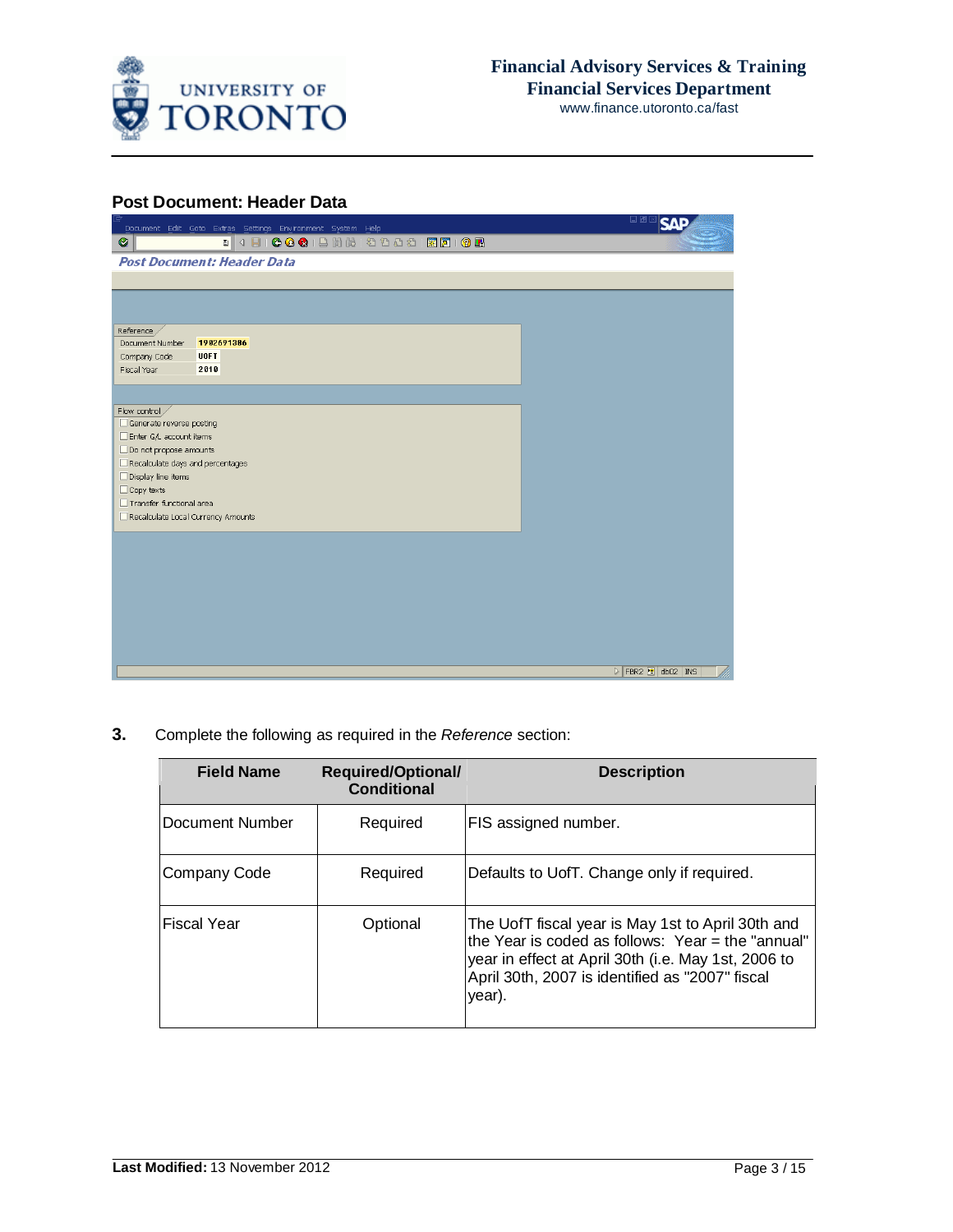

### **Post Document: Header Data**

| Document Edit Goto Extras Settings Environment System Help | 口画                                            |
|------------------------------------------------------------|-----------------------------------------------|
| $\bullet$                                                  |                                               |
| <b>Post Document: Header Data</b>                          |                                               |
|                                                            |                                               |
|                                                            |                                               |
|                                                            |                                               |
| Reference /                                                |                                               |
| 1902691386<br>Document Number                              |                                               |
| <b>UOFT</b><br>Company Code                                |                                               |
| 2010<br>Fiscal Year                                        |                                               |
|                                                            |                                               |
| Flow control                                               |                                               |
| Generate reverse posting                                   |                                               |
| Enter G/L account items                                    |                                               |
| Do not propose amounts                                     |                                               |
| Recalculate days and percentages                           |                                               |
| □ Display line items                                       |                                               |
| $\Box$ Copy texts<br>Transfer functional area              |                                               |
| Recalculate Local Currency Amounts                         |                                               |
|                                                            |                                               |
|                                                            |                                               |
|                                                            |                                               |
|                                                            |                                               |
|                                                            |                                               |
|                                                            |                                               |
|                                                            |                                               |
|                                                            |                                               |
|                                                            |                                               |
|                                                            | $\triangleright$ FBR2 $\blacksquare$ db02 INS |

**3.** Complete the following as required in the *Reference* section:

| <b>Field Name</b> | <b>Required/Optional/</b><br><b>Conditional</b> | <b>Description</b>                                                                                                                                                                                                         |
|-------------------|-------------------------------------------------|----------------------------------------------------------------------------------------------------------------------------------------------------------------------------------------------------------------------------|
| Document Number   | Required                                        | FIS assigned number.                                                                                                                                                                                                       |
| Company Code      | Required                                        | Defaults to UofT. Change only if required.                                                                                                                                                                                 |
| Fiscal Year       | Optional                                        | The UofT fiscal year is May 1st to April 30th and<br>the Year is coded as follows: Year = the "annual"<br>year in effect at April 30th (i.e. May 1st, 2006 to<br>April 30th, 2007 is identified as "2007" fiscal<br>year). |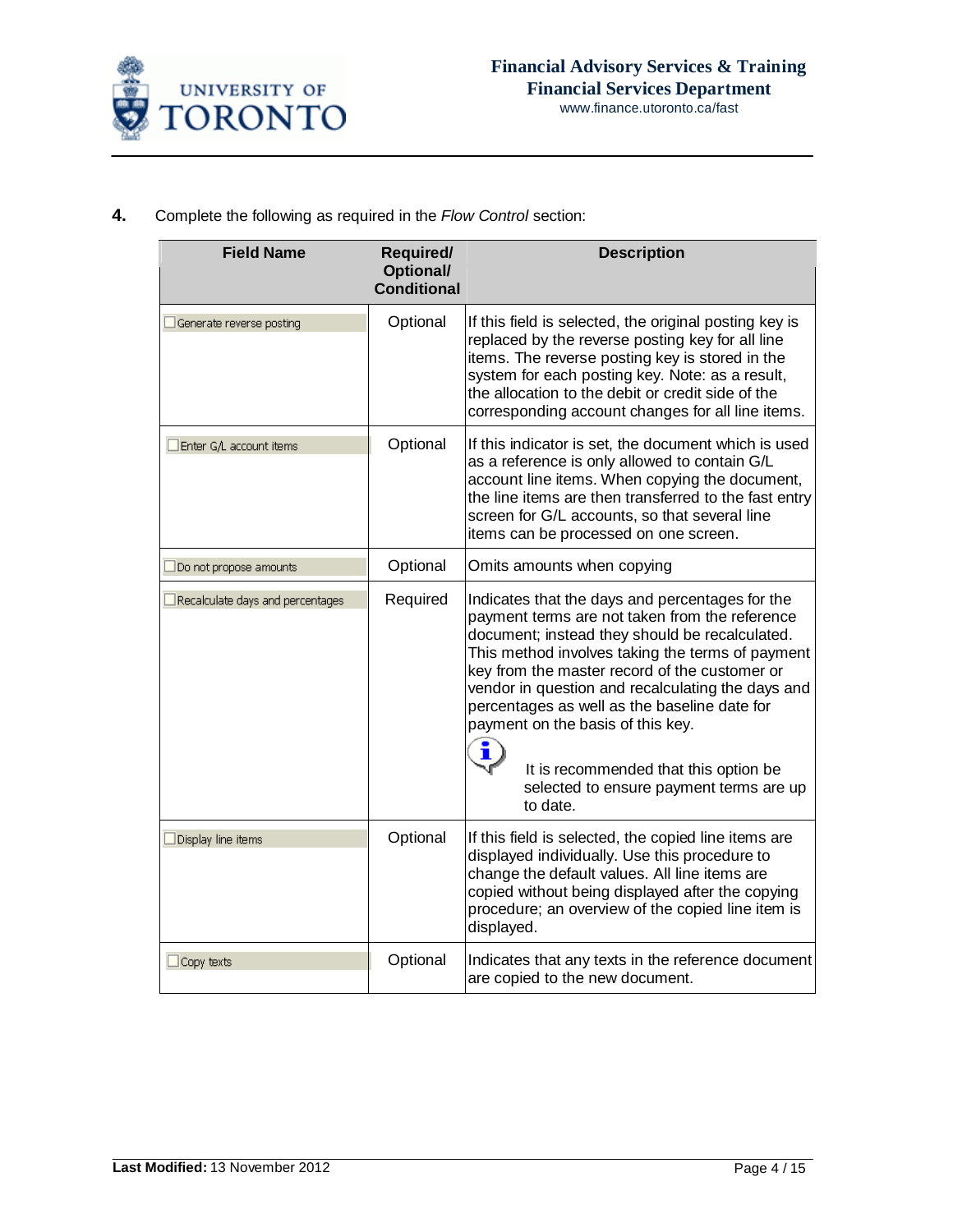

| Complete the following as required in the Flow Control section:<br>4. |  |
|-----------------------------------------------------------------------|--|
|-----------------------------------------------------------------------|--|

| <b>Field Name</b>                | <b>Required/</b><br>Optional/<br><b>Conditional</b> | <b>Description</b>                                                                                                                                                                                                                                                                                                                                                                                                                                                                                      |
|----------------------------------|-----------------------------------------------------|---------------------------------------------------------------------------------------------------------------------------------------------------------------------------------------------------------------------------------------------------------------------------------------------------------------------------------------------------------------------------------------------------------------------------------------------------------------------------------------------------------|
| $\Box$ Generate reverse posting  | Optional                                            | If this field is selected, the original posting key is<br>replaced by the reverse posting key for all line<br>items. The reverse posting key is stored in the<br>system for each posting key. Note: as a result,<br>the allocation to the debit or credit side of the<br>corresponding account changes for all line items.                                                                                                                                                                              |
| Enter G/L account items          | Optional                                            | If this indicator is set, the document which is used<br>as a reference is only allowed to contain G/L<br>account line items. When copying the document,<br>the line items are then transferred to the fast entry<br>screen for G/L accounts, so that several line<br>items can be processed on one screen.                                                                                                                                                                                              |
| $\Box$ Do not propose amounts    | Optional                                            | Omits amounts when copying                                                                                                                                                                                                                                                                                                                                                                                                                                                                              |
| Recalculate days and percentages | Required                                            | Indicates that the days and percentages for the<br>payment terms are not taken from the reference<br>document; instead they should be recalculated.<br>This method involves taking the terms of payment<br>key from the master record of the customer or<br>vendor in question and recalculating the days and<br>percentages as well as the baseline date for<br>payment on the basis of this key.<br>i<br>It is recommended that this option be<br>selected to ensure payment terms are up<br>to date. |
| $\Box$ Display line items        | Optional                                            | If this field is selected, the copied line items are<br>displayed individually. Use this procedure to<br>change the default values. All line items are<br>copied without being displayed after the copying<br>procedure; an overview of the copied line item is<br>displayed.                                                                                                                                                                                                                           |
| $\Box$ Copy texts                | Optional                                            | Indicates that any texts in the reference document<br>are copied to the new document.                                                                                                                                                                                                                                                                                                                                                                                                                   |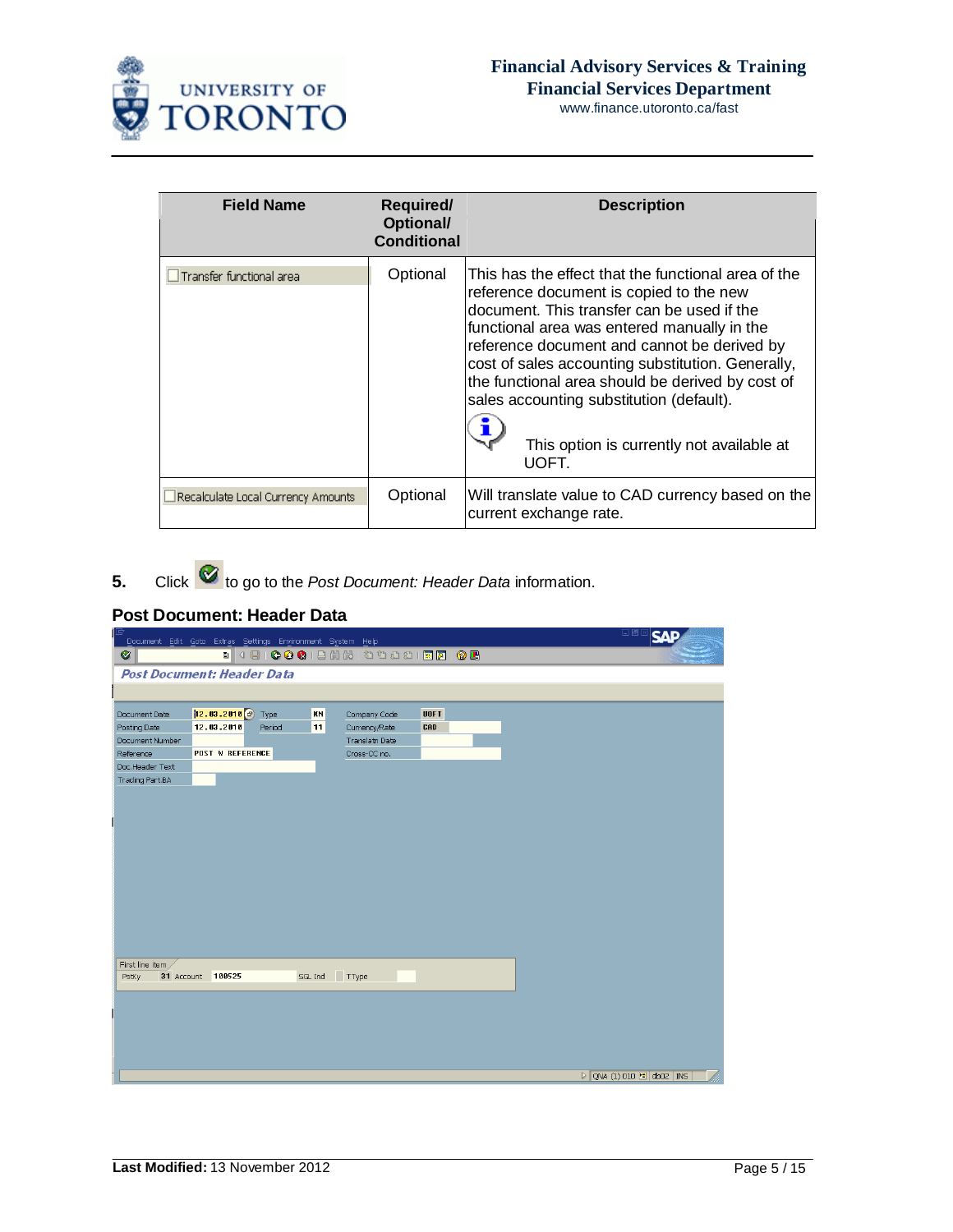

| <b>Field Name</b>                  | <b>Required/</b><br><b>Optional/</b><br><b>Conditional</b> | <b>Description</b>                                                                                                                                                                                                                                                                                                                                                                                                                                    |
|------------------------------------|------------------------------------------------------------|-------------------------------------------------------------------------------------------------------------------------------------------------------------------------------------------------------------------------------------------------------------------------------------------------------------------------------------------------------------------------------------------------------------------------------------------------------|
| Transfer functional area           | Optional                                                   | This has the effect that the functional area of the<br>reference document is copied to the new<br>document. This transfer can be used if the<br>functional area was entered manually in the<br>reference document and cannot be derived by<br>cost of sales accounting substitution. Generally,<br>the functional area should be derived by cost of<br>sales accounting substitution (default).<br>This option is currently not available at<br>UOFT. |
| Recalculate Local Currency Amounts | Optional                                                   | Will translate value to CAD currency based on the<br>current exchange rate.                                                                                                                                                                                                                                                                                                                                                                           |

**5.** Click **to** go to the *Post Document: Header Data* information.

# **Post Document: Header Data**

| Document Edit Goto Extras Settings Environment System Help |                           |        |         |                |             | <b>LEM SAP</b>                                       |
|------------------------------------------------------------|---------------------------|--------|---------|----------------|-------------|------------------------------------------------------|
| ◙                                                          |                           |        |         |                |             |                                                      |
| <b>Post Document: Header Data</b>                          |                           |        |         |                |             |                                                      |
|                                                            |                           |        |         |                |             |                                                      |
|                                                            |                           |        |         |                |             |                                                      |
| Document Date                                              | $12.83.2018$ $\odot$ Type |        | KN      | Company Code   | <b>UOFT</b> |                                                      |
| Posting Date                                               | 12.03.2010                | Period | 11      | Currency/Rate  | CAD         |                                                      |
| Document Number                                            |                           |        |         | Translatn Date |             |                                                      |
| Reference                                                  | <b>POST W REFERENCE</b>   |        |         | Cross-CC no.   |             |                                                      |
| Doc.Header Text                                            |                           |        |         |                |             |                                                      |
| Trading Part.BA                                            |                           |        |         |                |             |                                                      |
|                                                            |                           |        |         |                |             |                                                      |
|                                                            |                           |        |         |                |             |                                                      |
|                                                            |                           |        |         |                |             |                                                      |
|                                                            |                           |        |         |                |             |                                                      |
|                                                            |                           |        |         |                |             |                                                      |
|                                                            |                           |        |         |                |             |                                                      |
|                                                            |                           |        |         |                |             |                                                      |
|                                                            |                           |        |         |                |             |                                                      |
|                                                            |                           |        |         |                |             |                                                      |
|                                                            |                           |        |         |                |             |                                                      |
|                                                            |                           |        |         |                |             |                                                      |
|                                                            |                           |        |         |                |             |                                                      |
|                                                            |                           |        |         |                |             |                                                      |
| First line item<br>PstKy                                   | 31 Account 100525         |        | SGL Ind | TType          |             |                                                      |
|                                                            |                           |        |         |                |             |                                                      |
|                                                            |                           |        |         |                |             |                                                      |
|                                                            |                           |        |         |                |             |                                                      |
|                                                            |                           |        |         |                |             |                                                      |
|                                                            |                           |        |         |                |             |                                                      |
|                                                            |                           |        |         |                |             |                                                      |
|                                                            |                           |        |         |                |             |                                                      |
|                                                            |                           |        |         |                |             | $\triangleright$ QNA (1) 010 $\blacksquare$ db02 INS |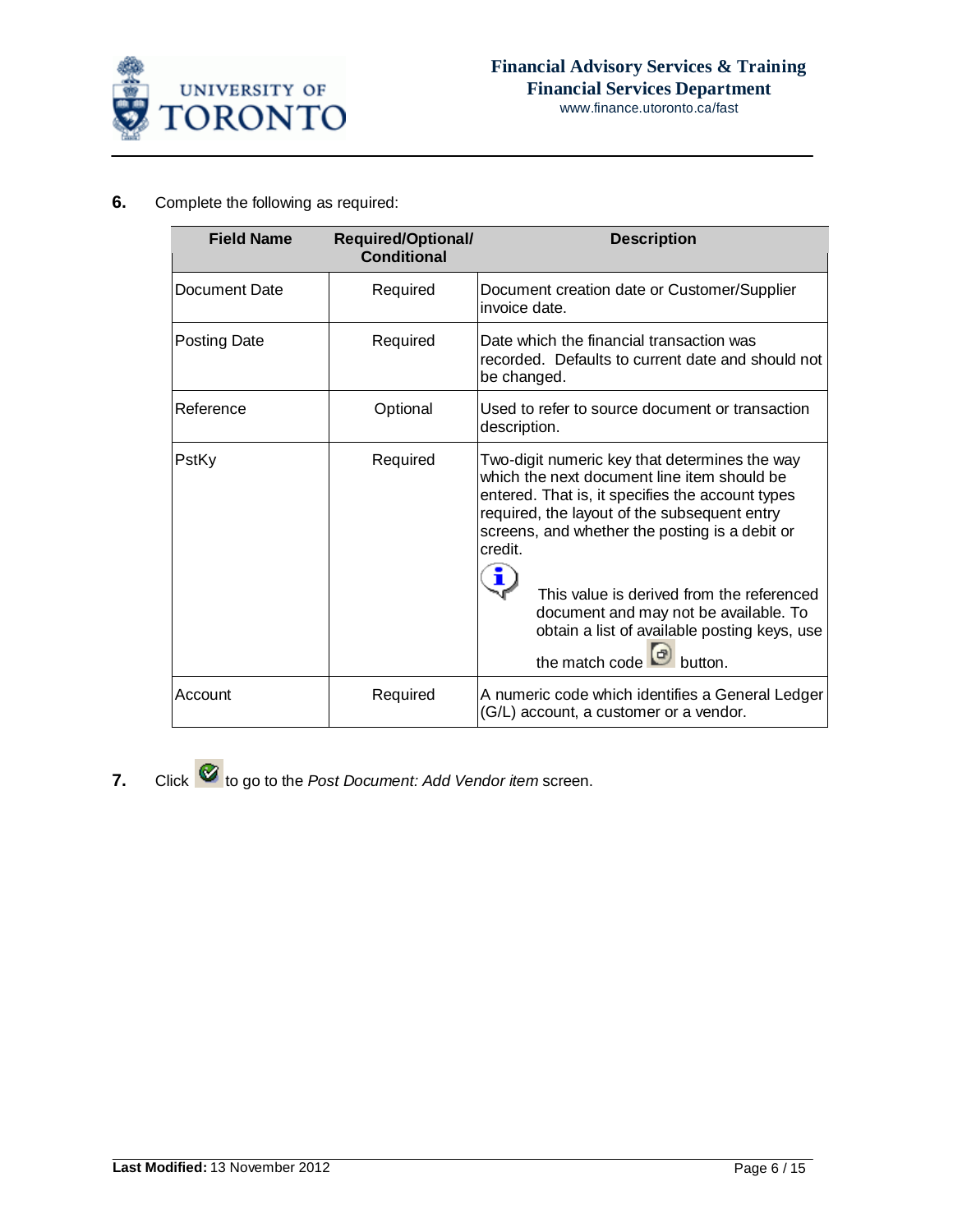

## **6.** Complete the following as required:

| <b>Field Name</b> | <b>Required/Optional/</b><br><b>Conditional</b> | <b>Description</b>                                                                                                                                                                                                                                                                                                                                                                                                               |  |  |
|-------------------|-------------------------------------------------|----------------------------------------------------------------------------------------------------------------------------------------------------------------------------------------------------------------------------------------------------------------------------------------------------------------------------------------------------------------------------------------------------------------------------------|--|--|
| Document Date     | Required                                        | Document creation date or Customer/Supplier<br>invoice date.                                                                                                                                                                                                                                                                                                                                                                     |  |  |
| Posting Date      | Required                                        | Date which the financial transaction was<br>recorded. Defaults to current date and should not<br>be changed.                                                                                                                                                                                                                                                                                                                     |  |  |
| Reference         | Optional                                        | Used to refer to source document or transaction<br>description.                                                                                                                                                                                                                                                                                                                                                                  |  |  |
| PstKy             | Required                                        | Two-digit numeric key that determines the way<br>which the next document line item should be<br>entered. That is, it specifies the account types<br>required, the layout of the subsequent entry<br>screens, and whether the posting is a debit or<br>credit.<br>This value is derived from the referenced<br>document and may not be available. To<br>obtain a list of available posting keys, use<br>the match code<br>button. |  |  |
| Account           | Required                                        | A numeric code which identifies a General Ledger<br>(G/L) account, a customer or a vendor.                                                                                                                                                                                                                                                                                                                                       |  |  |

**7.** Click **C** to go to the *Post Document: Add Vendor item* screen.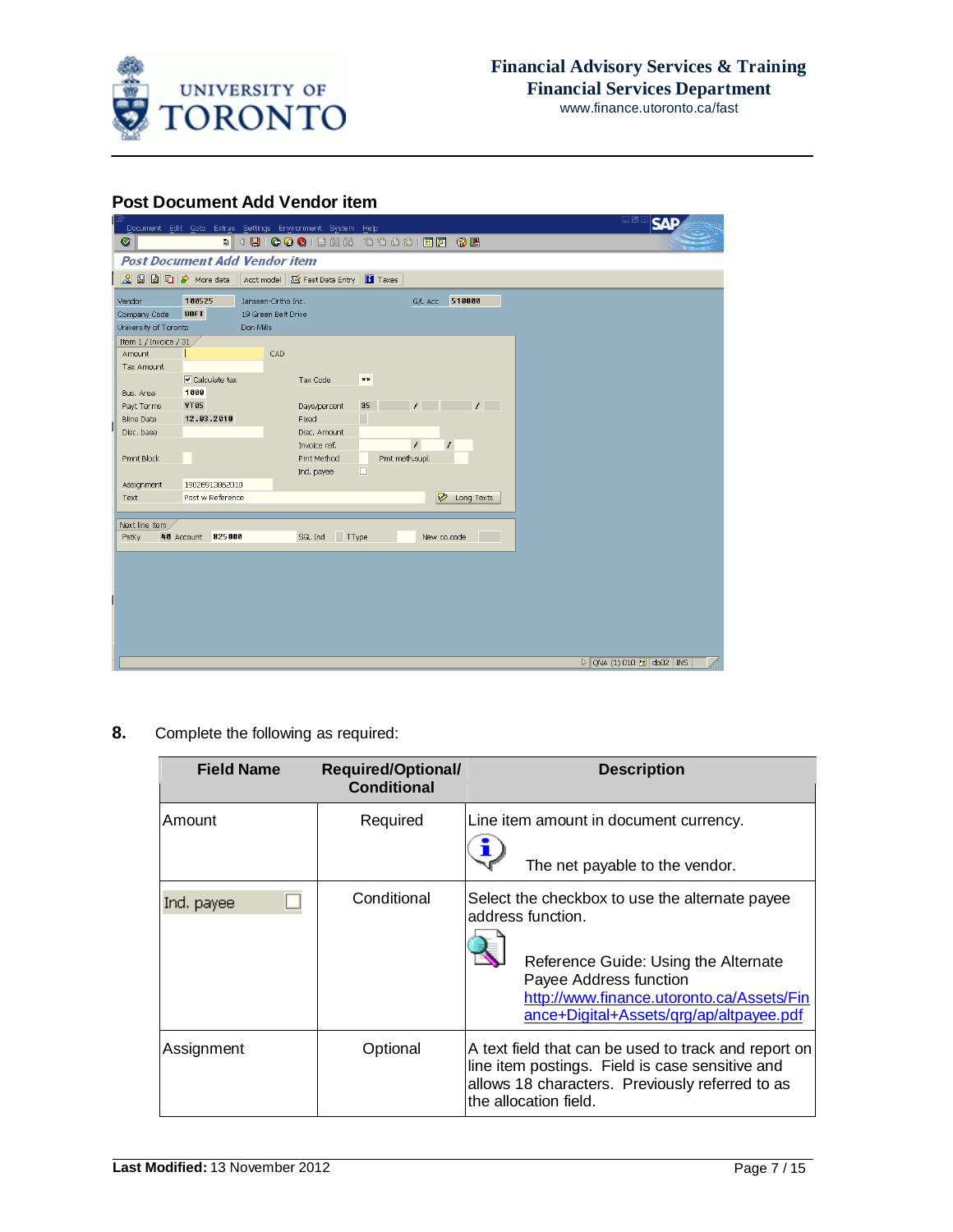

**Post Document Add Vendor item**

|                       |                                      | Document Edit Goto Extras Settings Environment System Help                  | 日回区<br><b>SA</b>                                     |
|-----------------------|--------------------------------------|-----------------------------------------------------------------------------|------------------------------------------------------|
| Ø                     |                                      |                                                                             |                                                      |
|                       | <b>Post Document Add Vendor item</b> |                                                                             |                                                      |
|                       |                                      | Q <b>G</b> B C → More data   Acct model G Fast Data Entry<br><b>H</b> Taxes |                                                      |
| Vendor                | 100525                               | 510000<br>Janssen-Ortho Inc.<br>G/L Acc                                     |                                                      |
| Company Code          | <b>UOFT</b>                          | 19 Green Belt Drive                                                         |                                                      |
| University of Toronto | Don Mills                            |                                                                             |                                                      |
| Item 1 / Invoice / 31 |                                      |                                                                             |                                                      |
| Amount                |                                      | CAD                                                                         |                                                      |
| Tax Amount            |                                      |                                                                             |                                                      |
|                       | $\triangleright$ Calculate tax       | Tax Code<br>$***$                                                           |                                                      |
| Bus, Area             | 1000                                 |                                                                             |                                                      |
| Payt Terms            | YT05                                 | $\mathcal{L}$<br>35<br>$\prime$<br>Days/percent                             |                                                      |
| <b>Bline Date</b>     | 12.03.2010                           | Fixed                                                                       |                                                      |
| Disc. base            |                                      | Disc. Amount<br>$\prime$                                                    |                                                      |
| Pmnt Block            |                                      | Invoice ref.<br>Pmt meth.supl.<br>Pmt Method                                |                                                      |
|                       |                                      | $\Box$<br>Ind. payee                                                        |                                                      |
| Assignment            | 19026913862010                       |                                                                             |                                                      |
| Text                  | Post w Reference                     | $\triangledown$<br>Long Texts                                               |                                                      |
|                       |                                      |                                                                             |                                                      |
| Next line item        |                                      |                                                                             |                                                      |
| PstKy                 | 825000<br>40 Account                 | TType<br>SGL Ind<br>New co.code                                             |                                                      |
|                       |                                      |                                                                             |                                                      |
|                       |                                      |                                                                             |                                                      |
|                       |                                      |                                                                             |                                                      |
|                       |                                      |                                                                             |                                                      |
|                       |                                      |                                                                             |                                                      |
|                       |                                      |                                                                             |                                                      |
|                       |                                      |                                                                             |                                                      |
|                       |                                      |                                                                             | $\triangleright$ QNA (1) 010 $\blacksquare$ db02 INS |
|                       |                                      |                                                                             |                                                      |

**8.** Complete the following as required:

| <b>Field Name</b> | <b>Required/Optional/</b><br><b>Conditional</b> | <b>Description</b>                                                                                                                                                                                                            |  |  |
|-------------------|-------------------------------------------------|-------------------------------------------------------------------------------------------------------------------------------------------------------------------------------------------------------------------------------|--|--|
| Amount            | Required                                        | Line item amount in document currency.<br>The net payable to the vendor.                                                                                                                                                      |  |  |
| Ind. payee        | Conditional                                     | Select the checkbox to use the alternate payee<br>address function.<br>Reference Guide: Using the Alternate<br>Payee Address function<br>http://www.finance.utoronto.ca/Assets/Fin<br>ance+Digital+Assets/qrg/ap/altpayee.pdf |  |  |
| Assignment        | Optional                                        | A text field that can be used to track and report on<br>line item postings. Field is case sensitive and<br>allows 18 characters. Previously referred to as<br>the allocation field.                                           |  |  |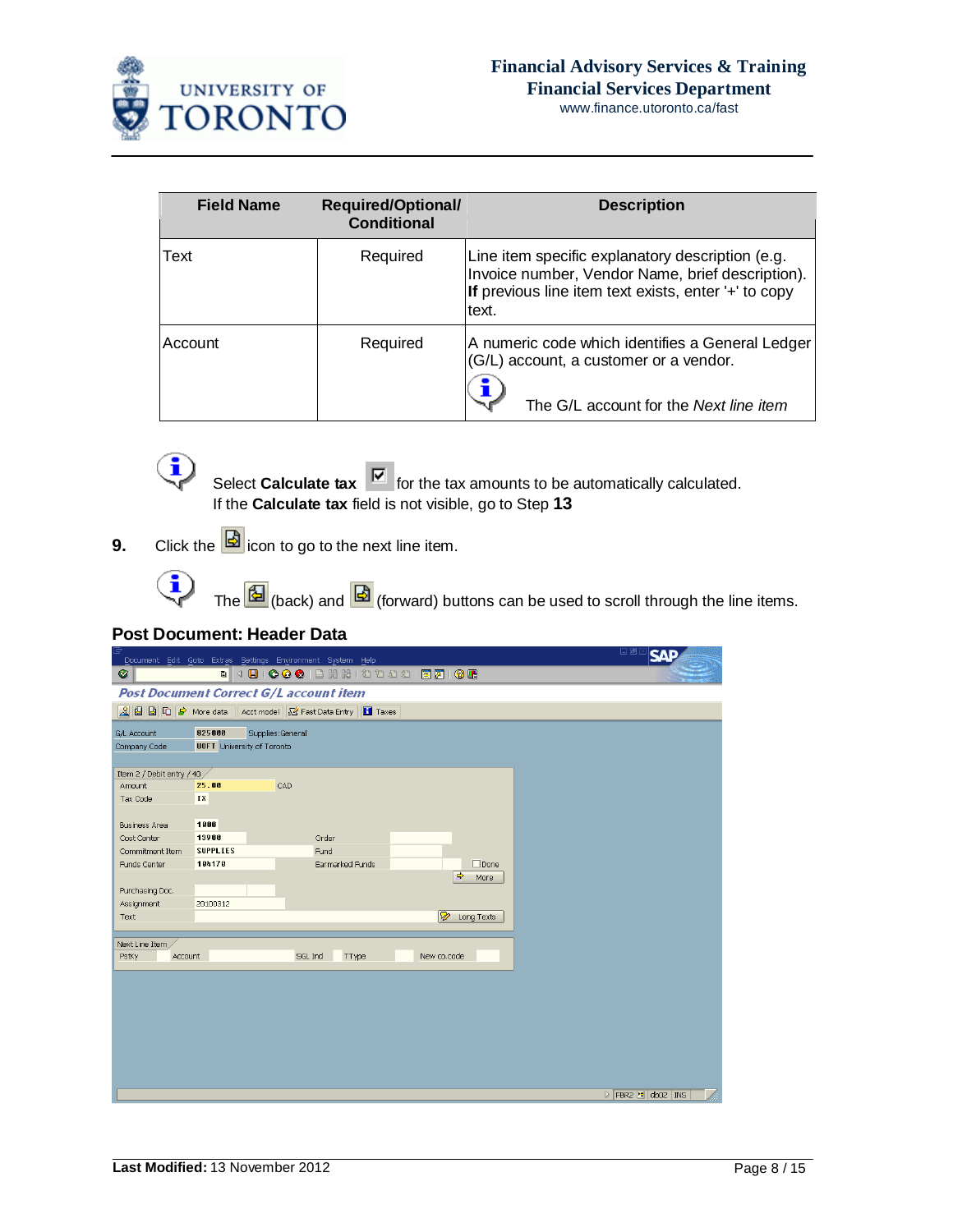

| <b>Field Name</b> | <b>Required/Optional/</b><br><b>Conditional</b> | <b>Description</b>                                                                                                                                                    |
|-------------------|-------------------------------------------------|-----------------------------------------------------------------------------------------------------------------------------------------------------------------------|
| Text              | Required                                        | Line item specific explanatory description (e.g.<br>Invoice number, Vendor Name, brief description).<br>If previous line item text exists, enter '+' to copy<br>text. |
| Account           | Required                                        | A numeric code which identifies a General Ledger<br>(G/L) account, a customer or a vendor.<br>The G/L account for the Next line item                                  |



**9.** Click the  $\boxed{\mathbf{B}}$  icon to go to the next line item.

The  $\overline{\textbf{B}}$  (back) and  $\overline{\textbf{B}}$  (forward) buttons can be used to scroll through the line items.

## **Post Document: Header Data**

 $\overline{\mathbf{G}}$ 

|                             |                                   | Document Edit Goto Extras Settings Environment System Help     |                       | HE A SAP                                      |
|-----------------------------|-----------------------------------|----------------------------------------------------------------|-----------------------|-----------------------------------------------|
| Ø                           |                                   |                                                                |                       |                                               |
|                             |                                   | <b>Post Document Correct G/L account item</b>                  |                       |                                               |
|                             |                                   | △ 国 国 □ ● More data   Acct model   Y Fast Data Entry   □ Taxes |                       |                                               |
| G/L Account                 | 825000                            | Supplies:General                                               |                       |                                               |
| Company Code                | <b>UOFT</b> University of Toronto |                                                                |                       |                                               |
|                             |                                   |                                                                |                       |                                               |
| Item 2 / Debit entry / 40 / |                                   |                                                                |                       |                                               |
| Amount                      | 25.00                             | CAD                                                            |                       |                                               |
| Tax Code                    | IX                                |                                                                |                       |                                               |
|                             |                                   |                                                                |                       |                                               |
| <b>Business Area</b>        | 1000                              |                                                                |                       |                                               |
| Cost Center                 | 13900                             | Order                                                          |                       |                                               |
| Commitment Item             | <b>SUPPLIES</b>                   | Fund                                                           |                       |                                               |
| Funds Center                | 104170                            | Earmarked Funds                                                | $\Box$ Done           |                                               |
|                             |                                   |                                                                | $\Rightarrow$<br>More |                                               |
| Purchasing Doc.             |                                   |                                                                |                       |                                               |
| Assignment                  | 20100312                          |                                                                | D                     |                                               |
| Text                        |                                   |                                                                | Long Texts            |                                               |
| Next Line Item              |                                   |                                                                |                       |                                               |
| PstKy<br>Account            |                                   | SGL Ind<br>TType                                               | New co.code           |                                               |
|                             |                                   |                                                                |                       |                                               |
|                             |                                   |                                                                |                       |                                               |
|                             |                                   |                                                                |                       |                                               |
|                             |                                   |                                                                |                       |                                               |
|                             |                                   |                                                                |                       |                                               |
|                             |                                   |                                                                |                       |                                               |
|                             |                                   |                                                                |                       |                                               |
|                             |                                   |                                                                |                       |                                               |
|                             |                                   |                                                                |                       |                                               |
|                             |                                   |                                                                |                       | $\triangleright$ FBR2 $\blacksquare$ db02 INS |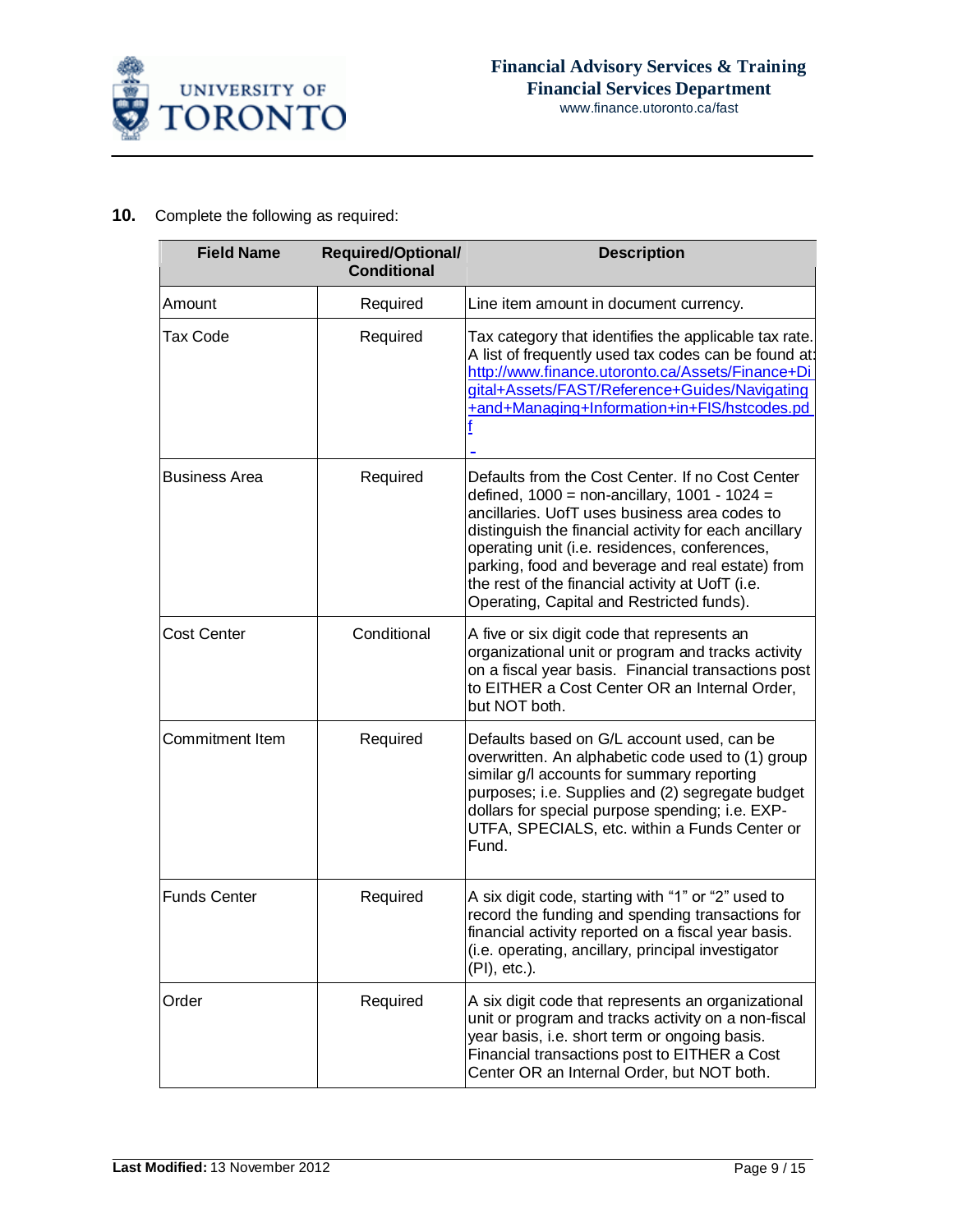

# **10.** Complete the following as required:

| <b>Field Name</b>    | <b>Required/Optional/</b><br><b>Conditional</b> | <b>Description</b>                                                                                                                                                                                                                                                                                                                                                                                                   |
|----------------------|-------------------------------------------------|----------------------------------------------------------------------------------------------------------------------------------------------------------------------------------------------------------------------------------------------------------------------------------------------------------------------------------------------------------------------------------------------------------------------|
| Amount               | Required                                        | Line item amount in document currency.                                                                                                                                                                                                                                                                                                                                                                               |
| Tax Code             | Required                                        | Tax category that identifies the applicable tax rate.<br>A list of frequently used tax codes can be found at:<br>http://www.finance.utoronto.ca/Assets/Finance+Di<br>gital+Assets/FAST/Reference+Guides/Navigating<br>+and+Managing+Information+in+FIS/hstcodes.pd                                                                                                                                                   |
| <b>Business Area</b> | Required                                        | Defaults from the Cost Center. If no Cost Center<br>defined, $1000 =$ non-ancillary, $1001 - 1024 =$<br>ancillaries. UofT uses business area codes to<br>distinguish the financial activity for each ancillary<br>operating unit (i.e. residences, conferences,<br>parking, food and beverage and real estate) from<br>the rest of the financial activity at UofT (i.e.<br>Operating, Capital and Restricted funds). |
| <b>Cost Center</b>   | Conditional                                     | A five or six digit code that represents an<br>organizational unit or program and tracks activity<br>on a fiscal year basis. Financial transactions post<br>to EITHER a Cost Center OR an Internal Order,<br>but NOT both.                                                                                                                                                                                           |
| Commitment Item      | Required                                        | Defaults based on G/L account used, can be<br>overwritten. An alphabetic code used to (1) group<br>similar g/l accounts for summary reporting<br>purposes; i.e. Supplies and (2) segregate budget<br>dollars for special purpose spending; i.e. EXP-<br>UTFA, SPECIALS, etc. within a Funds Center or<br>Fund.                                                                                                       |
| <b>Funds Center</b>  | Required                                        | A six digit code, starting with "1" or "2" used to<br>record the funding and spending transactions for<br>financial activity reported on a fiscal year basis.<br>(i.e. operating, ancillary, principal investigator<br>(PI), etc.).                                                                                                                                                                                  |
| Order                | Required                                        | A six digit code that represents an organizational<br>unit or program and tracks activity on a non-fiscal<br>year basis, i.e. short term or ongoing basis.<br>Financial transactions post to EITHER a Cost<br>Center OR an Internal Order, but NOT both.                                                                                                                                                             |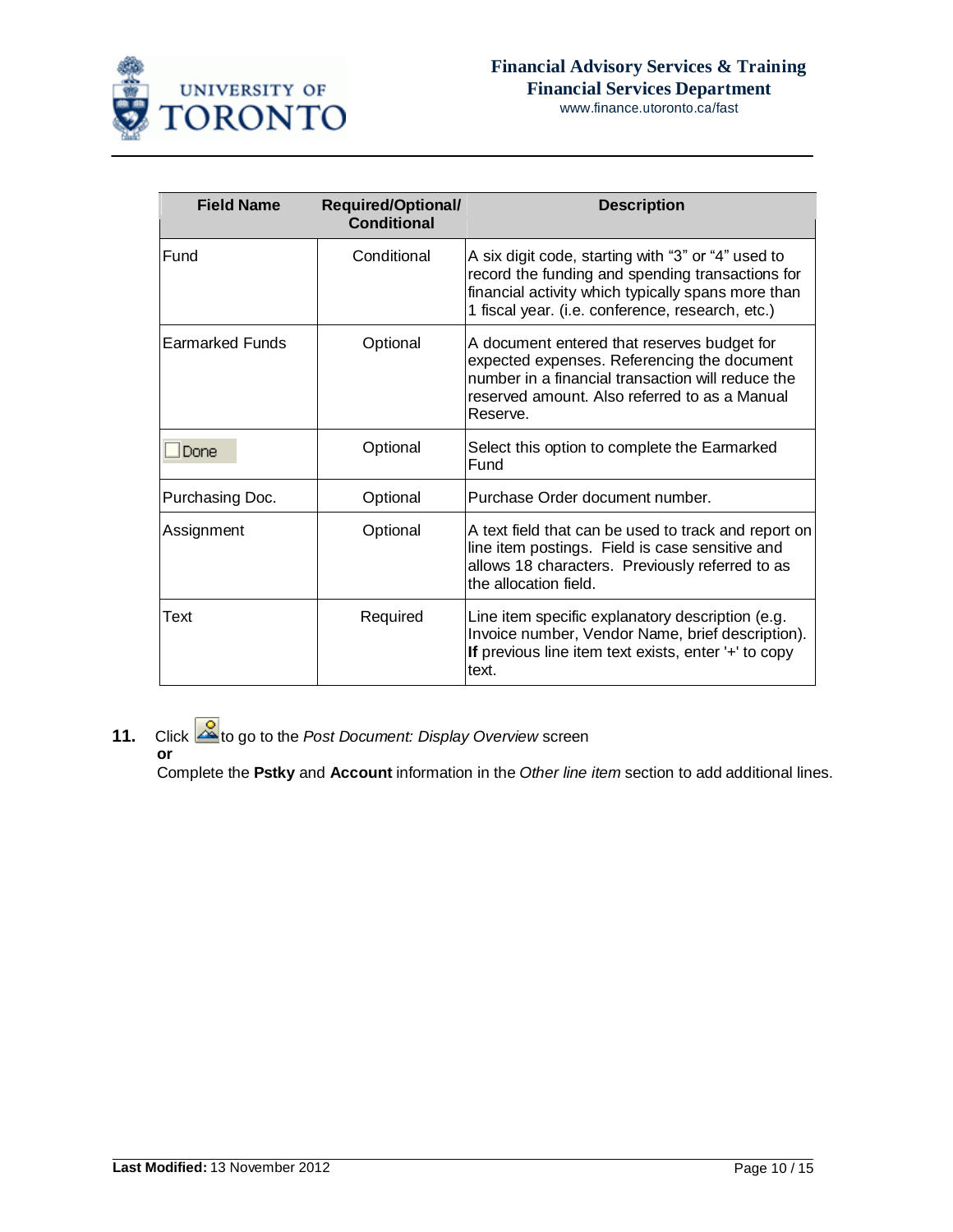

| <b>Field Name</b> | <b>Required/Optional/</b><br>Conditional | <b>Description</b>                                                                                                                                                                                               |
|-------------------|------------------------------------------|------------------------------------------------------------------------------------------------------------------------------------------------------------------------------------------------------------------|
|                   |                                          |                                                                                                                                                                                                                  |
| Fund              | Conditional                              | A six digit code, starting with "3" or "4" used to<br>record the funding and spending transactions for<br>financial activity which typically spans more than<br>1 fiscal year. (i.e. conference, research, etc.) |
| Earmarked Funds   | Optional                                 | A document entered that reserves budget for<br>expected expenses. Referencing the document<br>number in a financial transaction will reduce the<br>reserved amount. Also referred to as a Manual<br>Reserve.     |
| Done              | Optional                                 | Select this option to complete the Earmarked<br>Fund                                                                                                                                                             |
| Purchasing Doc.   | Optional                                 | Purchase Order document number.                                                                                                                                                                                  |
| Assignment        | Optional                                 | A text field that can be used to track and report on<br>line item postings. Field is case sensitive and<br>allows 18 characters. Previously referred to as<br>the allocation field.                              |
| Text              | Required                                 | Line item specific explanatory description (e.g.<br>Invoice number, Vendor Name, brief description).<br>If previous line item text exists, enter '+' to copy<br>text.                                            |

**11.** Click to go to the *Post Document: Display Overview* screen **or**

Complete the **Pstky** and **Account** information in the *Other line item* section to add additional lines.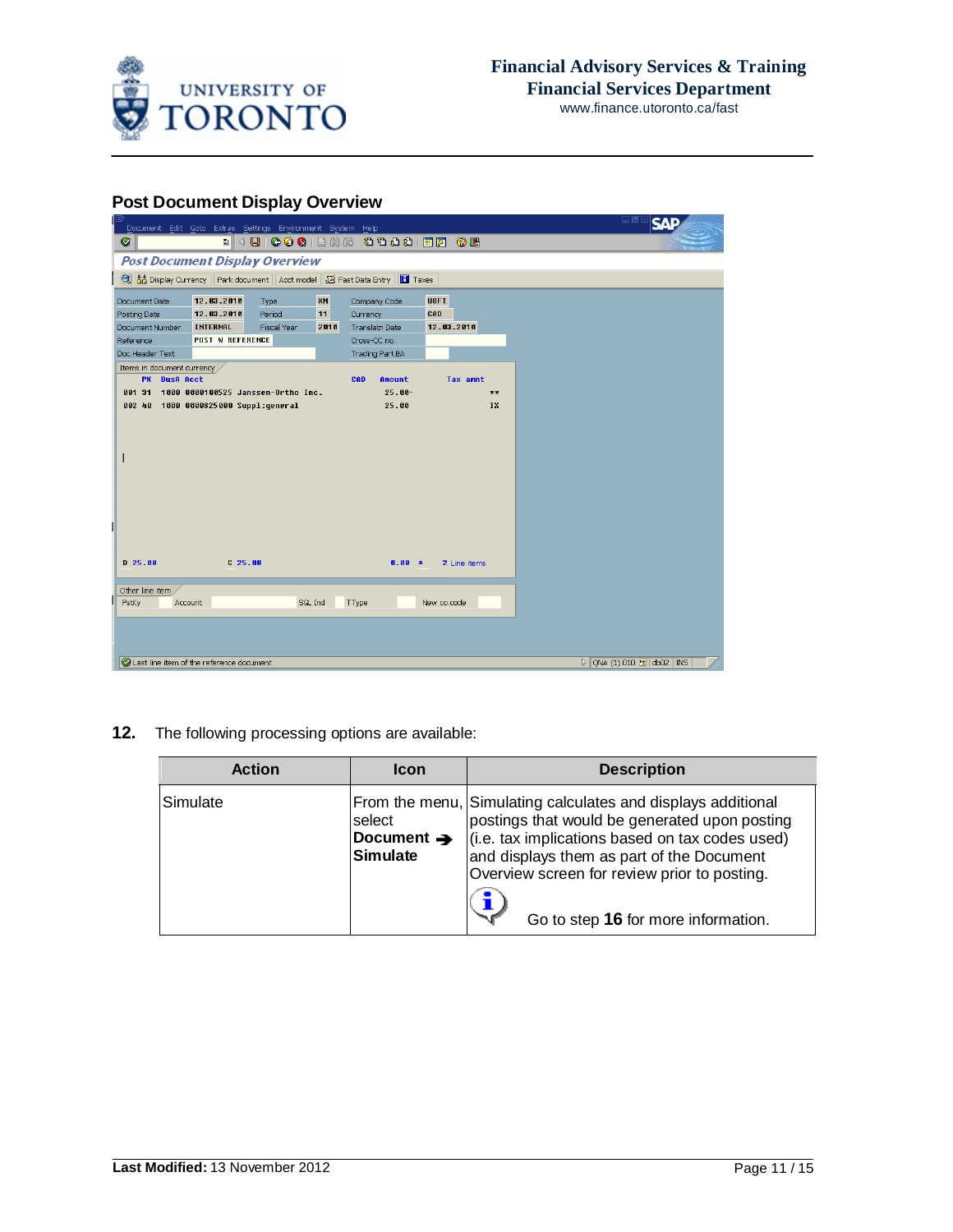

## **Post Document Display Overview**

| <b>DES</b> SAP<br>Document Edit Goto Extras Settings Environment System Help<br>. 4 8 6 6 6 1 8 1 8 1 8 1 8 1 8 6 8 6<br>◙<br><b>Post Document Display Overview</b><br>Fast Data Entry   Taxes<br>KN<br>12.03.2010<br><b>UOFT</b><br>Document Date<br>Company Code<br>Type<br>11<br>12.03.2010<br>CAD<br>Posting Date<br>Period<br>Currency |
|---------------------------------------------------------------------------------------------------------------------------------------------------------------------------------------------------------------------------------------------------------------------------------------------------------------------------------------------|
|                                                                                                                                                                                                                                                                                                                                             |
|                                                                                                                                                                                                                                                                                                                                             |
|                                                                                                                                                                                                                                                                                                                                             |
|                                                                                                                                                                                                                                                                                                                                             |
|                                                                                                                                                                                                                                                                                                                                             |
| 12.03.2010<br><b>INTERNAL</b><br>Document Number<br>Fiscal Year<br>2010<br>Translatn Date                                                                                                                                                                                                                                                   |
| <b>POST W REFERENCE</b><br>Reference<br>Cross-CC no.                                                                                                                                                                                                                                                                                        |
| Doc.Header Text<br>Trading Part.BA                                                                                                                                                                                                                                                                                                          |
| Items in document currency                                                                                                                                                                                                                                                                                                                  |
| PK BusA Acct<br>CAD<br>Tax amnt<br>Amount                                                                                                                                                                                                                                                                                                   |
| 1000 0000100525 Janssen-Ortho Inc.<br>$25.00 -$<br>881 31<br>**                                                                                                                                                                                                                                                                             |
| 002 40 1000 0000825000 Suppl:qeneral<br>25.00<br>IX                                                                                                                                                                                                                                                                                         |
|                                                                                                                                                                                                                                                                                                                                             |
|                                                                                                                                                                                                                                                                                                                                             |
|                                                                                                                                                                                                                                                                                                                                             |
| ı                                                                                                                                                                                                                                                                                                                                           |
|                                                                                                                                                                                                                                                                                                                                             |
|                                                                                                                                                                                                                                                                                                                                             |
|                                                                                                                                                                                                                                                                                                                                             |
|                                                                                                                                                                                                                                                                                                                                             |
|                                                                                                                                                                                                                                                                                                                                             |
|                                                                                                                                                                                                                                                                                                                                             |
|                                                                                                                                                                                                                                                                                                                                             |
| $D$ 25.88<br>$C$ 25.00                                                                                                                                                                                                                                                                                                                      |
| $0.00 *$<br>2 Line items                                                                                                                                                                                                                                                                                                                    |
|                                                                                                                                                                                                                                                                                                                                             |
| Other line item                                                                                                                                                                                                                                                                                                                             |
| New co.code<br>SGL Ind<br>TType<br>PstKy<br>Account                                                                                                                                                                                                                                                                                         |
|                                                                                                                                                                                                                                                                                                                                             |
|                                                                                                                                                                                                                                                                                                                                             |
|                                                                                                                                                                                                                                                                                                                                             |
| Last line item of the reference document<br>$\triangleright$ QNA (1) 010 $\blacksquare$ db02 INS                                                                                                                                                                                                                                            |

**12.** The following processing options are available:

| <b>Action</b> | <b>Icon</b>                                         | <b>Description</b>                                                                                                                                                                                                                                                                                   |
|---------------|-----------------------------------------------------|------------------------------------------------------------------------------------------------------------------------------------------------------------------------------------------------------------------------------------------------------------------------------------------------------|
| Simulate      | select<br>Document $\rightarrow$<br><b>Simulate</b> | From the menu, Simulating calculates and displays additional<br>postings that would be generated upon posting<br>(i.e. tax implications based on tax codes used)<br>and displays them as part of the Document<br>Overview screen for review prior to posting.<br>Go to step 16 for more information. |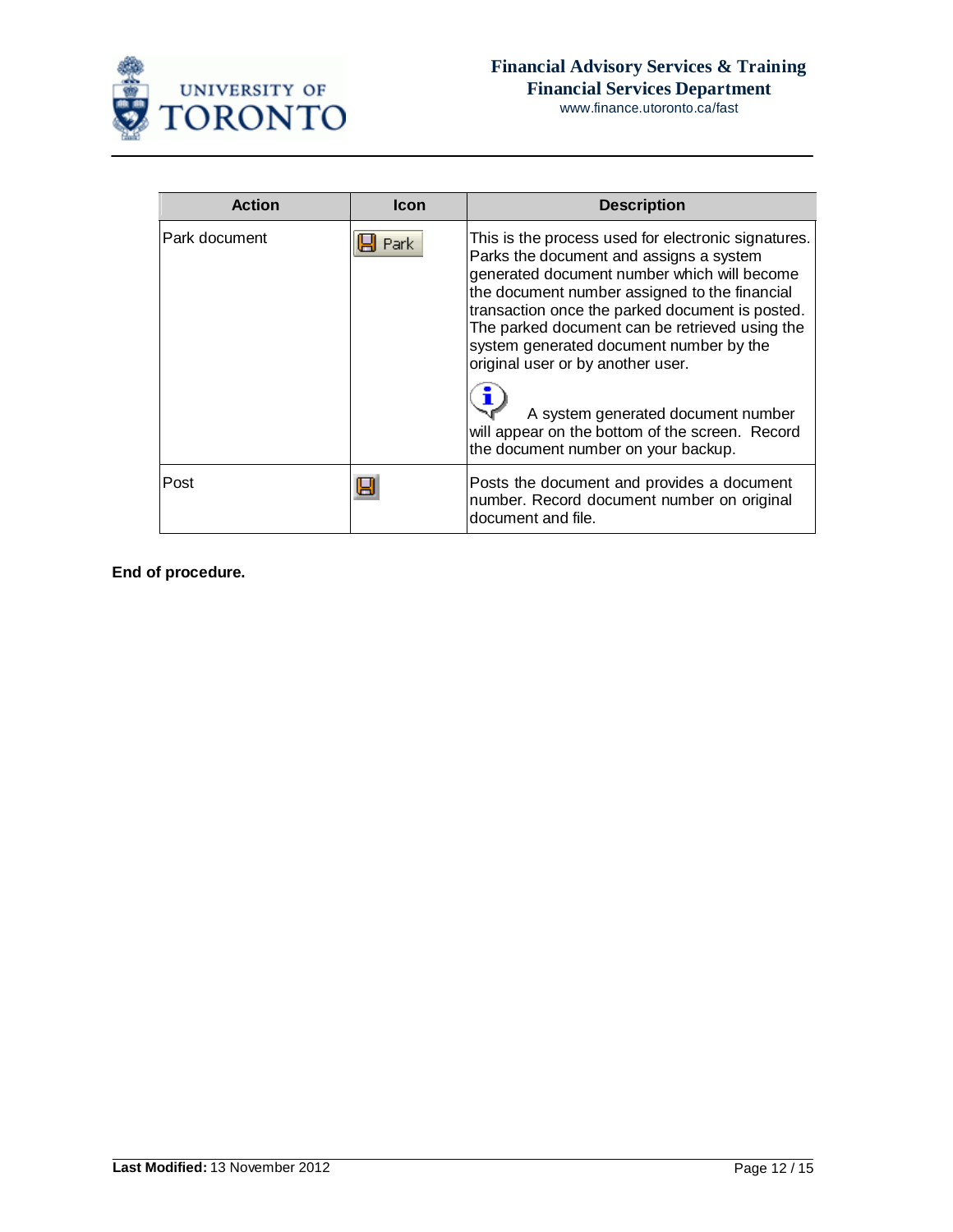

| <b>Action</b> | Icon | <b>Description</b>                                                                                                                                                                                                                                                                                                                                                                  |
|---------------|------|-------------------------------------------------------------------------------------------------------------------------------------------------------------------------------------------------------------------------------------------------------------------------------------------------------------------------------------------------------------------------------------|
| Park document | Park | This is the process used for electronic signatures.<br>Parks the document and assigns a system<br>generated document number which will become<br>the document number assigned to the financial<br>transaction once the parked document is posted.<br>The parked document can be retrieved using the<br>system generated document number by the<br>original user or by another user. |
|               |      | A system generated document number<br>will appear on the bottom of the screen. Record<br>the document number on your backup.                                                                                                                                                                                                                                                        |
| Post          | н    | Posts the document and provides a document<br>number. Record document number on original<br>document and file.                                                                                                                                                                                                                                                                      |

**End of procedure.**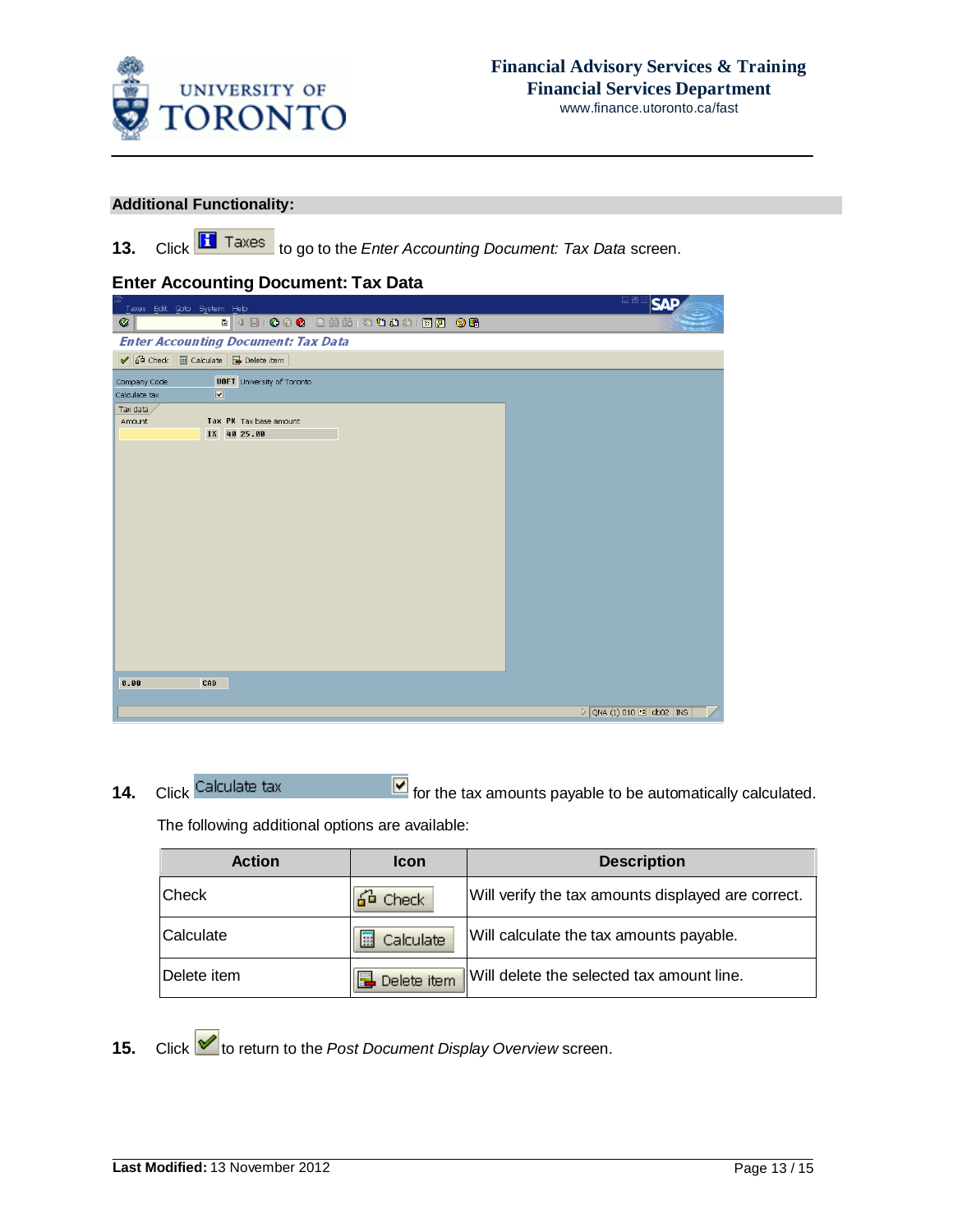

### **Additional Functionality:**

13. Click **H** Taxes to go to the *Enter Accounting Document: Tax Data* screen.

## **Enter Accounting Document: Tax Data**

| Taxes Edit Goto System Help                       | <b>SAP</b>                                           |
|---------------------------------------------------|------------------------------------------------------|
| . 4 8 6 6 6 1 8 1 8 1 8 1 8 8 8 8 8 8 8 8<br>Ø    |                                                      |
| <b>Enter Accounting Document: Tax Data</b>        |                                                      |
| 6 Check   a Calculate   Delete item               |                                                      |
| <b>UOFT</b> University of Toronto<br>Company Code |                                                      |
| $\boxed{2}$<br>Calculate tax                      |                                                      |
| Tax data                                          |                                                      |
| Tax PK Tax base amount<br>Amount                  |                                                      |
| IX 40 25.00                                       |                                                      |
|                                                   |                                                      |
|                                                   |                                                      |
|                                                   |                                                      |
|                                                   |                                                      |
|                                                   |                                                      |
|                                                   |                                                      |
|                                                   |                                                      |
|                                                   |                                                      |
|                                                   |                                                      |
|                                                   |                                                      |
|                                                   |                                                      |
|                                                   |                                                      |
|                                                   |                                                      |
|                                                   |                                                      |
|                                                   |                                                      |
|                                                   |                                                      |
|                                                   |                                                      |
| 0.00<br>CAD                                       |                                                      |
|                                                   |                                                      |
|                                                   | $\triangleright$ QNA (1) 010 $\blacksquare$ db02 INS |
|                                                   |                                                      |

**14.** Click Calculate tax **TE** for the tax amounts payable to be automatically calculated.

The following additional options are available:

| <b>Action</b>    | Icon           | <b>Description</b>                                 |
|------------------|----------------|----------------------------------------------------|
| ∣Check           | a⊆o Checki     | Will verify the tax amounts displayed are correct. |
| <b>Calculate</b> | Calculate<br>囲 | Will calculate the tax amounts payable.            |
| ∣Delete item     | Delete item    | Will delete the selected tax amount line.          |

15. Click **to** return to the *Post Document Display Overview* screen.